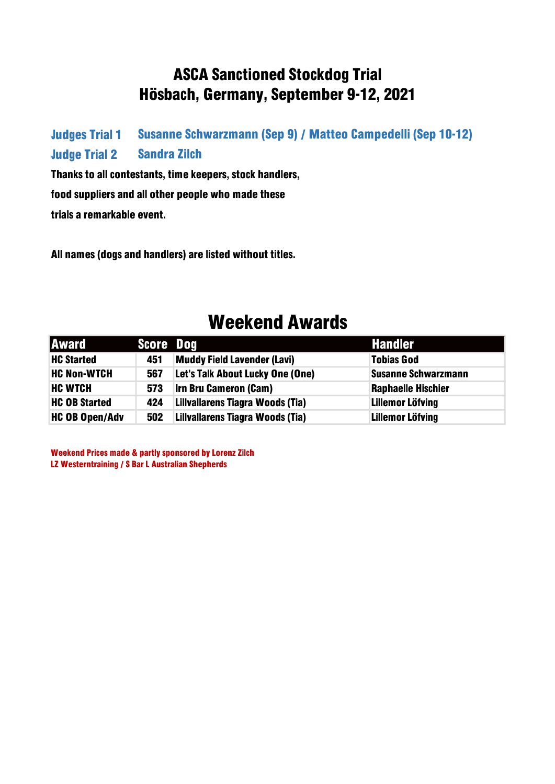#### ASCA Sanctioned Stockdog Trial Hösbach, Germany, September 9-12, 2021

Judges Trial 1 Judge Trial 2 Susanne Schwarzmann (Sep 9) / Matteo Campedelli (Sep 10-12) Sandra Zilch

Thanks to all contestants, time keepers, stock handlers, food suppliers and all other people who made these trials a remarkable event.

All names (dogs and handlers) are listed without titles.

#### Weekend Awards

| <b>Award</b>          | <b>Score Dog</b> |                                    | <b>Handler</b>             |
|-----------------------|------------------|------------------------------------|----------------------------|
| <b>HC Started</b>     | 451              | <b>Muddy Field Lavender (Lavi)</b> | <b>Tobias God</b>          |
| <b>HC Non-WTCH</b>    | 567              | Let's Talk About Lucky One (One)   | <b>Susanne Schwarzmann</b> |
| <b>HC WTCH</b>        | 573              | <b>Irn Bru Cameron (Cam)</b>       | <b>Raphaelle Hischier</b>  |
| <b>HC OB Started</b>  | 424              | Lillvallarens Tiagra Woods (Tia)   | <b>Lillemor Löfving</b>    |
| <b>HC OB Open/Adv</b> | 502              | Lillvallarens Tiagra Woods (Tia)   | <b>Lillemor Löfving</b>    |

Weekend Prices made & partly sponsored by Lorenz Zilch LZ Westerntraining / S Bar L Australian Shepherds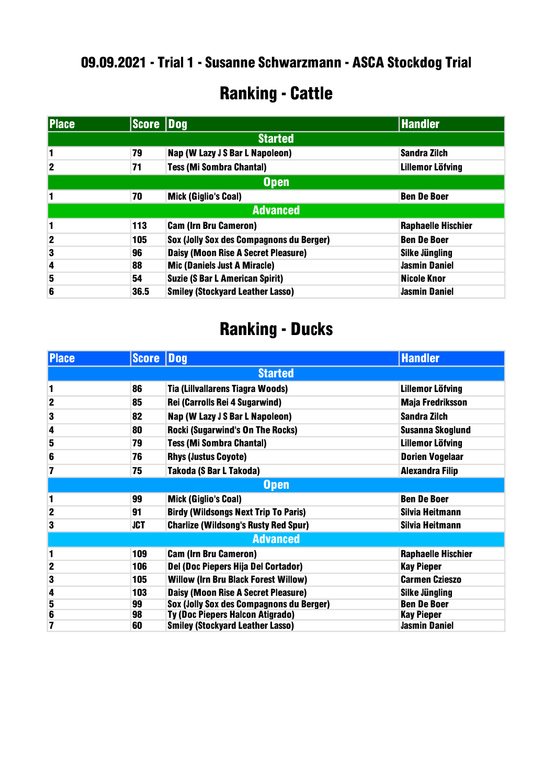#### .09.2021 - Trial 1 - Susanne Schwarzmann - ASCA Stockdog Trial

### Ranking - Cattle

| <b>Place</b> | Score Dog |                                            | <b>Handler</b>            |
|--------------|-----------|--------------------------------------------|---------------------------|
|              |           | <b>Started</b>                             |                           |
| 1            | 79        | Nap (W Lazy J S Bar L Napoleon)            | <b>Sandra Zilch</b>       |
| $\mathbf{2}$ | 71        | <b>Tess (Mi Sombra Chantal)</b>            | <b>Lillemor Löfving</b>   |
| <b>Open</b>  |           |                                            |                           |
| 1            | 70        | <b>Mick (Giglio's Coal)</b>                | <b>Ben De Boer</b>        |
|              |           | <b>Advanced</b>                            |                           |
| 1            | 113       | <b>Cam (Irn Bru Cameron)</b>               | <b>Raphaelle Hischier</b> |
| $\mathbf 2$  | 105       | Sox (Jolly Sox des Compagnons du Berger)   | <b>Ben De Boer</b>        |
| 3            | 96        | <b>Daisy (Moon Rise A Secret Pleasure)</b> | <b>Silke Jüngling</b>     |
| 4            | 88        | <b>Mic (Daniels Just A Miracle)</b>        | <b>Jasmin Daniel</b>      |
| 5            | 54        | <b>Suzie (S Bar L American Spirit)</b>     | <b>Nicole Knor</b>        |
| 6            | 36.5      | <b>Smiley (Stockyard Leather Lasso)</b>    | <b>Jasmin Daniel</b>      |

| <b>Place</b>     | <b>Score</b> | Dog                                         | <b>Handler</b>            |
|------------------|--------------|---------------------------------------------|---------------------------|
|                  |              | <b>Started</b>                              |                           |
| 1                | 86           | Tia (Lillvallarens Tiagra Woods)            | <b>Lillemor Löfving</b>   |
| $\boldsymbol{2}$ | 85           | Rei (Carrolls Rei 4 Sugarwind)              | Maja Fredriksson          |
| $\bf{3}$         | 82           | Nap (W Lazy J S Bar L Napoleon)             | Sandra Zilch              |
| 4                | 80           | <b>Rocki (Sugarwind's On The Rocks)</b>     | Susanna Skoglund          |
| 5                | 79           | <b>Tess (Mi Sombra Chantal)</b>             | <b>Lillemor Löfving</b>   |
| 6                | 76           | <b>Rhys (Justus Coyote)</b>                 | <b>Dorien Vogelaar</b>    |
| 7                | 75           | Takoda (S Bar L Takoda)                     | <b>Alexandra Filip</b>    |
| <b>Open</b>      |              |                                             |                           |
| 1                | 99           | <b>Mick (Giglio's Coal)</b>                 | <b>Ben De Boer</b>        |
| $\mathbf{2}$     | 91           | <b>Birdy (Wildsongs Next Trip To Paris)</b> | Silvia Heitmann           |
| 3                | <b>JCT</b>   | <b>Charlize (Wildsong's Rusty Red Spur)</b> | Silvia Heitmann           |
|                  |              | <b>Advanced</b>                             |                           |
| 1                | 109          | <b>Cam (Irn Bru Cameron)</b>                | <b>Raphaelle Hischier</b> |
| $\overline{2}$   | 106          | Del (Doc Piepers Hija Del Cortador)         | Kay Pieper                |
| 3                | 105          | <b>Willow (Irn Bru Black Forest Willow)</b> | <b>Carmen Czieszo</b>     |
| 4                | 103          | Daisy (Moon Rise A Secret Pleasure)         | <b>Silke Jüngling</b>     |
| 5                | 99           | Sox (Jolly Sox des Compagnons du Berger)    | <b>Ben De Boer</b>        |
| 6                | 98           | Ty (Doc Piepers Halcon Atigrado)            | Kay Pieper                |
| 7                | 60           | <b>Smiley (Stockyard Leather Lasso)</b>     | <b>Jasmin Daniel</b>      |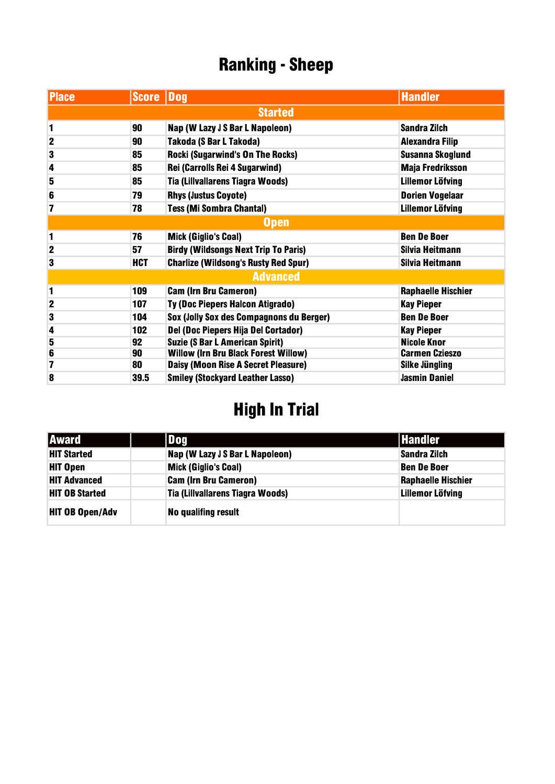| <b>Place</b>   | <b>Score Dog</b> |                                             | <b>Handler</b>            |
|----------------|------------------|---------------------------------------------|---------------------------|
|                |                  | <b>Started</b>                              |                           |
| 1              | 90               | Nap (W Lazy J S Bar L Napoleon)             | <b>Sandra Zilch</b>       |
| $\mathbf 2$    | 90               | Takoda (S Bar L Takoda)                     | <b>Alexandra Filip</b>    |
| 3              | 85               | <b>Rocki (Sugarwind's On The Rocks)</b>     | <b>Susanna Skoglund</b>   |
| 4              | 85               | Rei (Carrolls Rei 4 Sugarwind)              | <b>Maja Fredriksson</b>   |
| 5              | 85               | Tia (Lillvallarens Tiagra Woods)            | <b>Lillemor Löfving</b>   |
| 6              | 79               | <b>Rhys (Justus Coyote)</b>                 | <b>Dorien Vogelaar</b>    |
| 7              | 78               | <b>Tess (Mi Sombra Chantal)</b>             | <b>Lillemor Löfving</b>   |
| <b>Open</b>    |                  |                                             |                           |
| 1              | 76               | <b>Mick (Giglio's Coal)</b>                 | <b>Ben De Boer</b>        |
| $\overline{2}$ | 57               | <b>Birdy (Wildsongs Next Trip To Paris)</b> | Silvia Heitmann           |
| 3              | <b>HCT</b>       | <b>Charlize (Wildsong's Rusty Red Spur)</b> | Silvia Heitmann           |
|                |                  | <b>Advanced</b>                             |                           |
| 1              | 109              | <b>Cam (Irn Bru Cameron)</b>                | <b>Raphaelle Hischier</b> |
| $\overline{2}$ | 107              | Ty (Doc Piepers Halcon Atigrado)            | <b>Kay Pieper</b>         |
| 3              | 104              | Sox (Jolly Sox des Compagnons du Berger)    | <b>Ben De Boer</b>        |
| 4              | 102              | Del (Doc Piepers Hija Del Cortador)         | <b>Kay Pieper</b>         |
| 5              | 92               | <b>Suzie (S Bar L American Spirit)</b>      | <b>Nicole Knor</b>        |
| 6              | 90               | <b>Willow (Irn Bru Black Forest Willow)</b> | <b>Carmen Czieszo</b>     |
| 7              | 80               | Daisy (Moon Rise A Secret Pleasure)         | <b>Silke Jüngling</b>     |
| 8              | 39.5             | <b>Smiley (Stockyard Leather Lasso)</b>     | <b>Jasmin Daniel</b>      |

| <b>Award</b>           | Dog                              | <b>Handler</b>            |
|------------------------|----------------------------------|---------------------------|
| <b>HIT Started</b>     | Nap (W Lazy J S Bar L Napoleon)  | Sandra Zilch              |
| <b>HIT Open</b>        | <b>Mick (Giglio's Coal)</b>      | <b>Ben De Boer</b>        |
| <b>HIT Advanced</b>    | <b>Cam (Irn Bru Cameron)</b>     | <b>Raphaelle Hischier</b> |
| <b>HIT OB Started</b>  | Tia (Lillvallarens Tiagra Woods) | <b>Lillemor Löfving</b>   |
| <b>HIT OB Open/Adv</b> | <b>No qualifing result</b>       |                           |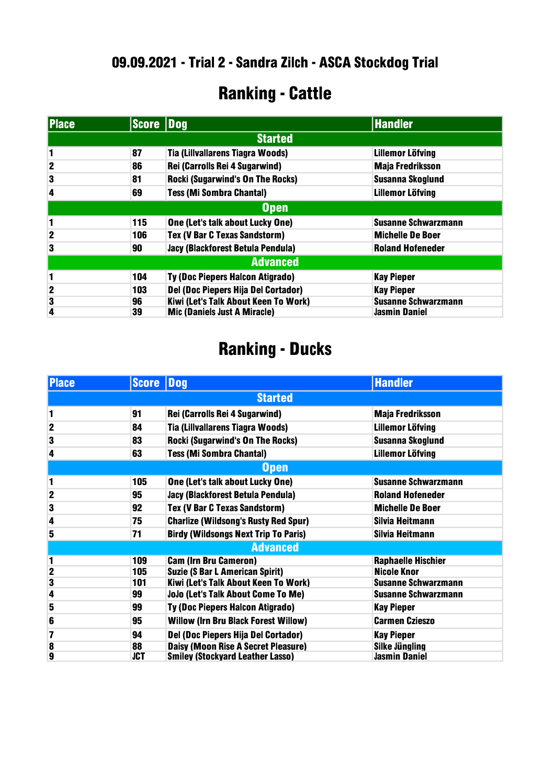### Ranking - Cattle

| <b>Place</b>            | Score Dog |                                         | <b>Handler</b>             |
|-------------------------|-----------|-----------------------------------------|----------------------------|
|                         |           | <b>Started</b>                          |                            |
| 1                       | 87        | Tia (Lillvallarens Tiagra Woods)        | <b>Lillemor Löfving</b>    |
| $\overline{2}$          | 86        | Rei (Carrolls Rei 4 Sugarwind)          | <b>Maja Fredriksson</b>    |
| 3                       | 81        | <b>Rocki (Sugarwind's On The Rocks)</b> | Susanna Skoglund           |
| 4                       | 69        | <b>Tess (Mi Sombra Chantal)</b>         | <b>Lillemor Löfving</b>    |
| Open                    |           |                                         |                            |
| 1                       | 115       | One (Let's talk about Lucky One)        | <b>Susanne Schwarzmann</b> |
| $\mathbf 2$             | 106       | Tex (V Bar C Texas Sandstorm)           | <b>Michelle De Boer</b>    |
| 3                       | 90        | Jacy (Blackforest Betula Pendula)       | <b>Roland Hofeneder</b>    |
| <b>Advanced</b>         |           |                                         |                            |
| 1                       | 104       | Ty (Doc Piepers Halcon Atigrado)        | <b>Kay Pieper</b>          |
| $\overline{\mathbf{2}}$ | 103       | Del (Doc Piepers Hija Del Cortador)     | <b>Kay Pieper</b>          |
| $\overline{\mathbf{3}}$ | 96        | Kiwi (Let's Talk About Keen To Work)    | <b>Susanne Schwarzmann</b> |
| 4                       | 39        | <b>Mic (Daniels Just A Miracle)</b>     | <b>Jasmin Daniel</b>       |

| <b>Place</b>            | <b>Score Dog</b> |                                             | <b>Handler</b>             |
|-------------------------|------------------|---------------------------------------------|----------------------------|
|                         |                  | <b>Started</b>                              |                            |
| 1                       | 91               | Rei (Carrolls Rei 4 Sugarwind)              | <b>Maja Fredriksson</b>    |
| $\overline{\mathbf{2}}$ | 84               | Tia (Lillvallarens Tiagra Woods)            | <b>Lillemor Löfving</b>    |
| 3                       | 83               | <b>Rocki (Sugarwind's On The Rocks)</b>     | <b>Susanna Skoglund</b>    |
| 4                       | 63               | <b>Tess (Mi Sombra Chantal)</b>             | <b>Lillemor Löfving</b>    |
|                         |                  | <b>Open</b>                                 |                            |
| 1                       | 105              | One (Let's talk about Lucky One)            | <b>Susanne Schwarzmann</b> |
| $\overline{\mathbf{2}}$ | 95               | Jacy (Blackforest Betula Pendula)           | <b>Roland Hofeneder</b>    |
| 3                       | 92               | Tex (V Bar C Texas Sandstorm)               | <b>Michelle De Boer</b>    |
| 4                       | 75               | <b>Charlize (Wildsong's Rusty Red Spur)</b> | Silvia Heitmann            |
| 5                       | 71               | <b>Birdy (Wildsongs Next Trip To Paris)</b> | Silvia Heitmann            |
|                         |                  | <b>Advanced</b>                             |                            |
| 1                       | 109              | <b>Cam (Irn Bru Cameron)</b>                | <b>Raphaelle Hischier</b>  |
| $\overline{2}$          | 105              | <b>Suzie (S Bar L American Spirit)</b>      | <b>Nicole Knor</b>         |
| 3                       | 101              | Kiwi (Let's Talk About Keen To Work)        | <b>Susanne Schwarzmann</b> |
| 4                       | 99               | JoJo (Let's Talk About Come To Me)          | <b>Susanne Schwarzmann</b> |
| 5                       | 99               | Ty (Doc Piepers Halcon Atigrado)            | <b>Kay Pieper</b>          |
| 6                       | 95               | <b>Willow (Irn Bru Black Forest Willow)</b> | <b>Carmen Czieszo</b>      |
| 7                       | 94               | Del (Doc Piepers Hija Del Cortador)         | <b>Kay Pieper</b>          |
| 8                       | 88               | <b>Daisy (Moon Rise A Secret Pleasure)</b>  | <b>Silke Jüngling</b>      |
| 9                       | <b>JCT</b>       | <b>Smiley (Stockyard Leather Lasso)</b>     | <b>Jasmin Daniel</b>       |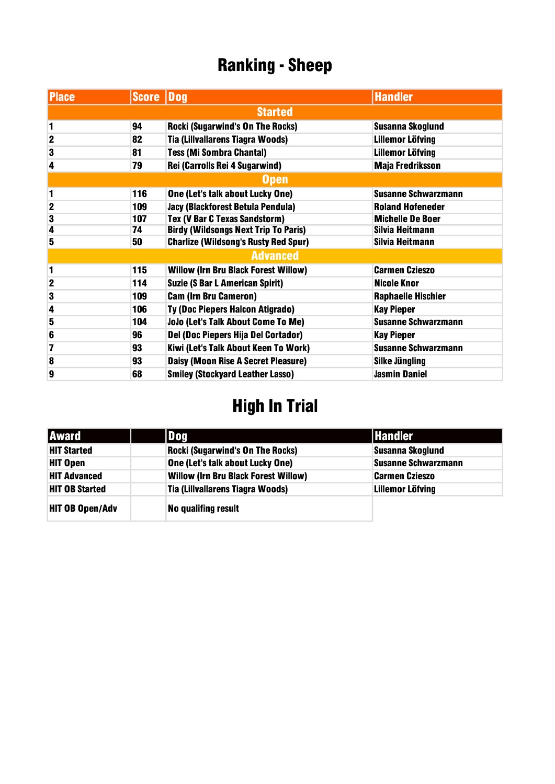| <b>Place</b>   | <b>Score Dog</b> |                                             | <b>Handler</b>             |
|----------------|------------------|---------------------------------------------|----------------------------|
|                |                  | <b>Started</b>                              |                            |
| 1              | 94               | <b>Rocki (Sugarwind's On The Rocks)</b>     | <b>Susanna Skoglund</b>    |
| $\mathbf 2$    | 82               | Tia (Lillvallarens Tiagra Woods)            | <b>Lillemor Löfving</b>    |
| 3              | 81               | <b>Tess (Mi Sombra Chantal)</b>             | <b>Lillemor Löfving</b>    |
| 4              | 79               | Rei (Carrolls Rei 4 Sugarwind)              | <b>Maja Fredriksson</b>    |
|                |                  | <b>Open</b>                                 |                            |
| 1              | 116              | One (Let's talk about Lucky One)            | <b>Susanne Schwarzmann</b> |
| $\overline{2}$ | 109              | Jacy (Blackforest Betula Pendula)           | <b>Roland Hofeneder</b>    |
| 3              | 107              | <b>Tex (V Bar C Texas Sandstorm)</b>        | <b>Michelle De Boer</b>    |
| 4              | 74               | <b>Birdy (Wildsongs Next Trip To Paris)</b> | Silvia Heitmann            |
| 5              | 50               | <b>Charlize (Wildsong's Rusty Red Spur)</b> | Silvia Heitmann            |
|                |                  | <b>Advanced</b>                             |                            |
| 1              | 115              | <b>Willow (Irn Bru Black Forest Willow)</b> | <b>Carmen Czieszo</b>      |
| $\mathbf 2$    | 114              | <b>Suzie (S Bar L American Spirit)</b>      | <b>Nicole Knor</b>         |
| 3              | 109              | <b>Cam (Irn Bru Cameron)</b>                | <b>Raphaelle Hischier</b>  |
| 4              | 106              | Ty (Doc Piepers Halcon Atigrado)            | <b>Kay Pieper</b>          |
| 5              | 104              | JoJo (Let's Talk About Come To Me)          | <b>Susanne Schwarzmann</b> |
| 6              | 96               | Del (Doc Piepers Hija Del Cortador)         | <b>Kay Pieper</b>          |
| 7              | 93               | Kiwi (Let's Talk About Keen To Work)        | <b>Susanne Schwarzmann</b> |
| 8              | 93               | Daisy (Moon Rise A Secret Pleasure)         | <b>Silke Jüngling</b>      |
| 9              | 68               | <b>Smiley (Stockyard Leather Lasso)</b>     | <b>Jasmin Daniel</b>       |

| <b>Award</b>           | Dog                                         | <b>Handler</b>             |
|------------------------|---------------------------------------------|----------------------------|
| <b>HIT Started</b>     | <b>Rocki (Sugarwind's On The Rocks)</b>     | <b>Susanna Skoglund</b>    |
| <b>HIT Open</b>        | One (Let's talk about Lucky One)            | <b>Susanne Schwarzmann</b> |
| <b>HIT Advanced</b>    | <b>Willow (Irn Bru Black Forest Willow)</b> | <b>Carmen Czieszo</b>      |
| <b>HIT OB Started</b>  | Tia (Lillvallarens Tiagra Woods)            | <b>Lillemor Löfving</b>    |
| <b>HIT OB Open/Adv</b> | No qualifing result                         |                            |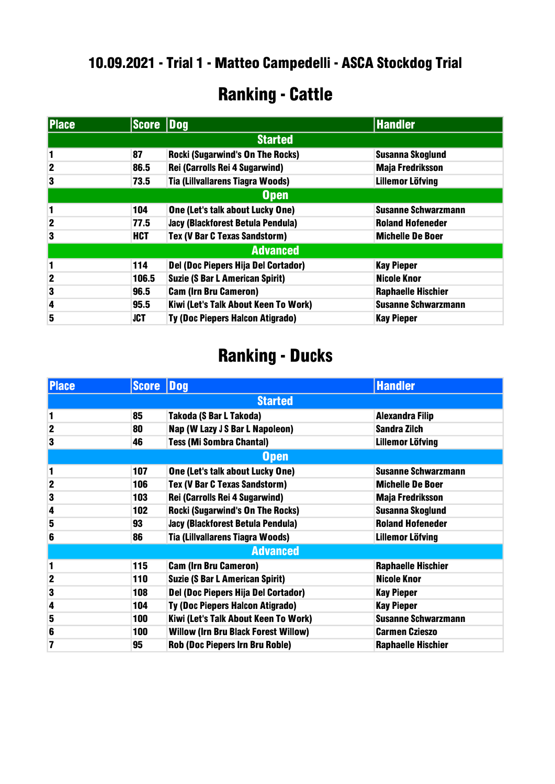#### .09.2021 - Trial 1 - Matteo Campedelli - ASCA Stockdog Trial

# Ranking - Cattle

| <b>Place</b>   |            | <b>Score Dog</b>                        | <b>Handler</b>             |  |
|----------------|------------|-----------------------------------------|----------------------------|--|
|                |            | <b>Started</b>                          |                            |  |
| 1              | 87         | <b>Rocki (Sugarwind's On The Rocks)</b> | <b>Susanna Skoglund</b>    |  |
| $\overline{2}$ | 86.5       | Rei (Carrolls Rei 4 Sugarwind)          | <b>Maja Fredriksson</b>    |  |
| 3              | 73.5       | <b>Tia (Lillvallarens Tiagra Woods)</b> | <b>Lillemor Löfving</b>    |  |
| <b>Open</b>    |            |                                         |                            |  |
| 1              | 104        | One (Let's talk about Lucky One)        | <b>Susanne Schwarzmann</b> |  |
| $\mathbf{2}$   | 77.5       | Jacy (Blackforest Betula Pendula)       | <b>Roland Hofeneder</b>    |  |
| 3              | <b>HCT</b> | Tex (V Bar C Texas Sandstorm)           | <b>Michelle De Boer</b>    |  |
|                |            | <b>Advanced</b>                         |                            |  |
| 1              | 114        | Del (Doc Piepers Hija Del Cortador)     | <b>Kay Pieper</b>          |  |
| $\mathbf{2}$   | 106.5      | <b>Suzie (S Bar L American Spirit)</b>  | <b>Nicole Knor</b>         |  |
| 3              | 96.5       | <b>Cam (Irn Bru Cameron)</b>            | <b>Raphaelle Hischier</b>  |  |
| 4              | 95.5       | Kiwi (Let's Talk About Keen To Work)    | <b>Susanne Schwarzmann</b> |  |
| 5              | <b>JCT</b> | Ty (Doc Piepers Halcon Atigrado)        | <b>Kay Pieper</b>          |  |

| <b>Place</b>   | <b>Score Dog</b> |                                             | <b>Handler</b>             |
|----------------|------------------|---------------------------------------------|----------------------------|
|                |                  | <b>Started</b>                              |                            |
| 1              | 85               | Takoda (S Bar L Takoda)                     | <b>Alexandra Filip</b>     |
| $\overline{2}$ | 80               | Nap (W Lazy J S Bar L Napoleon)             | <b>Sandra Zilch</b>        |
| 3              | 46               | <b>Tess (Mi Sombra Chantal)</b>             | <b>Lillemor Löfving</b>    |
|                |                  | <b>Open</b>                                 |                            |
| 1              | 107              | One (Let's talk about Lucky One)            | <b>Susanne Schwarzmann</b> |
| $\mathbf{2}$   | 106              | Tex (V Bar C Texas Sandstorm)               | <b>Michelle De Boer</b>    |
| 3              | 103              | Rei (Carrolls Rei 4 Sugarwind)              | <b>Maja Fredriksson</b>    |
| 4              | 102              | <b>Rocki (Sugarwind's On The Rocks)</b>     | <b>Susanna Skoglund</b>    |
| 5              | 93               | Jacy (Blackforest Betula Pendula)           | <b>Roland Hofeneder</b>    |
| 6              | 86               | <b>Tia (Lillvallarens Tiagra Woods)</b>     | <b>Lillemor Löfving</b>    |
|                |                  | <b>Advanced</b>                             |                            |
| 1              | 115              | <b>Cam (Irn Bru Cameron)</b>                | <b>Raphaelle Hischier</b>  |
| $\mathbf{2}$   | 110              | <b>Suzie (S Bar L American Spirit)</b>      | <b>Nicole Knor</b>         |
| 3              | 108              | Del (Doc Piepers Hija Del Cortador)         | <b>Kay Pieper</b>          |
| 4              | 104              | Ty (Doc Piepers Halcon Atigrado)            | <b>Kay Pieper</b>          |
| 5              | 100              | Kiwi (Let's Talk About Keen To Work)        | <b>Susanne Schwarzmann</b> |
| 6              | 100              | <b>Willow (Irn Bru Black Forest Willow)</b> | <b>Carmen Czieszo</b>      |
| 7              | 95               | <b>Rob (Doc Piepers Irn Bru Roble)</b>      | <b>Raphaelle Hischier</b>  |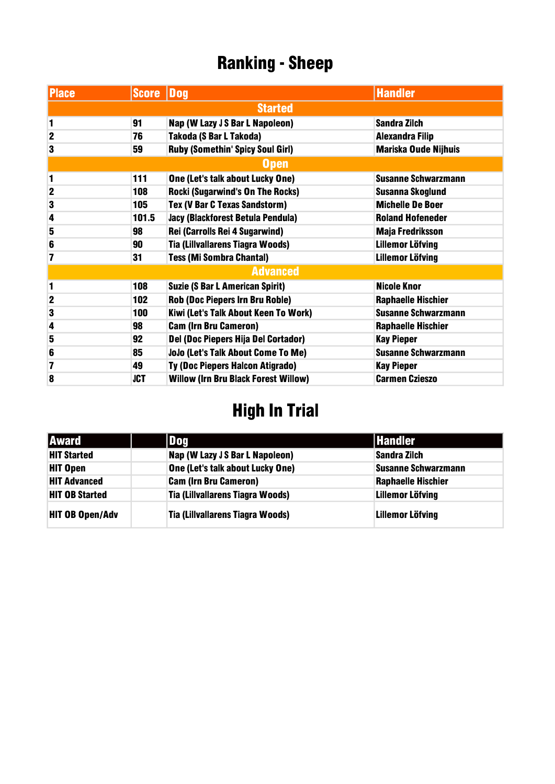| <b>Place</b>            | Score Dog  |                                             | <b>Handler</b>              |
|-------------------------|------------|---------------------------------------------|-----------------------------|
|                         |            | <b>Started</b>                              |                             |
| 1                       | 91         | Nap (W Lazy J S Bar L Napoleon)             | <b>Sandra Zilch</b>         |
| $\mathbf{2}$            | 76         | Takoda (S Bar L Takoda)                     | <b>Alexandra Filip</b>      |
| 3                       | 59         | <b>Ruby (Somethin' Spicy Soul Girl)</b>     | <b>Mariska Oude Nijhuis</b> |
|                         |            | <b>Open</b>                                 |                             |
| 1                       | 111        | One (Let's talk about Lucky One)            | <b>Susanne Schwarzmann</b>  |
| $\overline{\mathbf{2}}$ | 108        | <b>Rocki (Sugarwind's On The Rocks)</b>     | <b>Susanna Skoglund</b>     |
| 3                       | 105        | Tex (V Bar C Texas Sandstorm)               | <b>Michelle De Boer</b>     |
| 4                       | 101.5      | Jacy (Blackforest Betula Pendula)           | <b>Roland Hofeneder</b>     |
| 5                       | 98         | Rei (Carrolls Rei 4 Sugarwind)              | <b>Maja Fredriksson</b>     |
| 6                       | 90         | Tia (Lillvallarens Tiagra Woods)            | <b>Lillemor Löfving</b>     |
| 7                       | 31         | <b>Tess (Mi Sombra Chantal)</b>             | <b>Lillemor Löfving</b>     |
|                         |            | <b>Advanced</b>                             |                             |
| 1                       | 108        | <b>Suzie (S Bar L American Spirit)</b>      | <b>Nicole Knor</b>          |
| $\overline{\mathbf{2}}$ | 102        | <b>Rob (Doc Piepers Irn Bru Roble)</b>      | <b>Raphaelle Hischier</b>   |
| 3                       | 100        | Kiwi (Let's Talk About Keen To Work)        | <b>Susanne Schwarzmann</b>  |
| 4                       | 98         | <b>Cam (Irn Bru Cameron)</b>                | <b>Raphaelle Hischier</b>   |
| 5                       | 92         | Del (Doc Piepers Hija Del Cortador)         | <b>Kay Pieper</b>           |
| 6                       | 85         | JoJo (Let's Talk About Come To Me)          | <b>Susanne Schwarzmann</b>  |
| 7                       | 49         | Ty (Doc Piepers Halcon Atigrado)            | <b>Kay Pieper</b>           |
| 8                       | <b>JCT</b> | <b>Willow (Irn Bru Black Forest Willow)</b> | <b>Carmen Czieszo</b>       |

| <b>Award</b>           | Dog                              | <b>Handler</b>             |
|------------------------|----------------------------------|----------------------------|
| <b>HIT Started</b>     | Nap (W Lazy J S Bar L Napoleon)  | Sandra Zilch               |
| <b>HIT Open</b>        | One (Let's talk about Lucky One) | <b>Susanne Schwarzmann</b> |
| <b>HIT Advanced</b>    | <b>Cam (Irn Bru Cameron)</b>     | <b>Raphaelle Hischier</b>  |
| <b>HIT OB Started</b>  | Tia (Lillvallarens Tiagra Woods) | <b>Lillemor Löfving</b>    |
| <b>HIT OB Open/Adv</b> | Tia (Lillvallarens Tiagra Woods) | <b>Lillemor Löfving</b>    |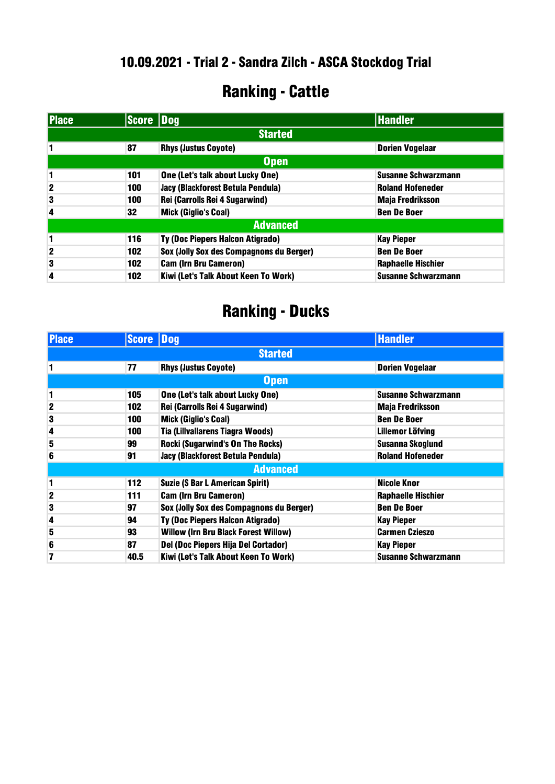### Ranking - Cattle

| <b>Place</b> | Score Dog |                                          | <b>Handler</b>             |
|--------------|-----------|------------------------------------------|----------------------------|
|              |           | <b>Started</b>                           |                            |
|              | 87        | <b>Rhys (Justus Coyote)</b>              | <b>Dorien Vogelaar</b>     |
|              |           | <b>Open</b>                              |                            |
| 1            | 101       | One (Let's talk about Lucky One)         | <b>Susanne Schwarzmann</b> |
| $\mathbf{2}$ | 100       | Jacy (Blackforest Betula Pendula)        | <b>Roland Hofeneder</b>    |
| 3            | 100       | Rei (Carrolls Rei 4 Sugarwind)           | <b>Maja Fredriksson</b>    |
| 4            | 32        | <b>Mick (Giglio's Coal)</b>              | <b>Ben De Boer</b>         |
|              |           | <b>Advanced</b>                          |                            |
| 1            | 116       | <b>Ty (Doc Piepers Halcon Atigrado)</b>  | <b>Kay Pieper</b>          |
| $\mathbf{2}$ | 102       | Sox (Jolly Sox des Compagnons du Berger) | <b>Ben De Boer</b>         |
| 3            | 102       | <b>Cam (Irn Bru Cameron)</b>             | <b>Raphaelle Hischier</b>  |
| 4            | 102       | Kiwi (Let's Talk About Keen To Work)     | <b>Susanne Schwarzmann</b> |

| <b>Place</b> | <b>Score Dog</b> |                                             | <b>Handler</b>             |
|--------------|------------------|---------------------------------------------|----------------------------|
|              |                  | <b>Started</b>                              |                            |
|              | 77               | <b>Rhys (Justus Coyote)</b>                 | <b>Dorien Vogelaar</b>     |
|              |                  | <b>Open</b>                                 |                            |
| 1            | 105              | One (Let's talk about Lucky One)            | <b>Susanne Schwarzmann</b> |
| 2            | 102              | Rei (Carrolls Rei 4 Sugarwind)              | <b>Maja Fredriksson</b>    |
| 3            | 100              | <b>Mick (Giglio's Coal)</b>                 | <b>Ben De Boer</b>         |
| 4            | 100              | Tia (Lillvallarens Tiagra Woods)            | Lillemor Löfving           |
| 5            | 99               | <b>Rocki (Sugarwind's On The Rocks)</b>     | <b>Susanna Skoglund</b>    |
| 6            | 91               | Jacy (Blackforest Betula Pendula)           | <b>Roland Hofeneder</b>    |
|              |                  | <b>Advanced</b>                             |                            |
| 1            | 112              | <b>Suzie (S Bar L American Spirit)</b>      | <b>Nicole Knor</b>         |
| $\mathbf 2$  | 111              | <b>Cam (Irn Bru Cameron)</b>                | <b>Raphaelle Hischier</b>  |
| 3            | 97               | Sox (Jolly Sox des Compagnons du Berger)    | <b>Ben De Boer</b>         |
| 4            | 94               | Ty (Doc Piepers Halcon Atigrado)            | <b>Kay Pieper</b>          |
| 5            | 93               | <b>Willow (Irn Bru Black Forest Willow)</b> | <b>Carmen Czieszo</b>      |
| 6            | 87               | Del (Doc Piepers Hija Del Cortador)         | <b>Kay Pieper</b>          |
| 7            | 40.5             | Kiwi (Let's Talk About Keen To Work)        | <b>Susanne Schwarzmann</b> |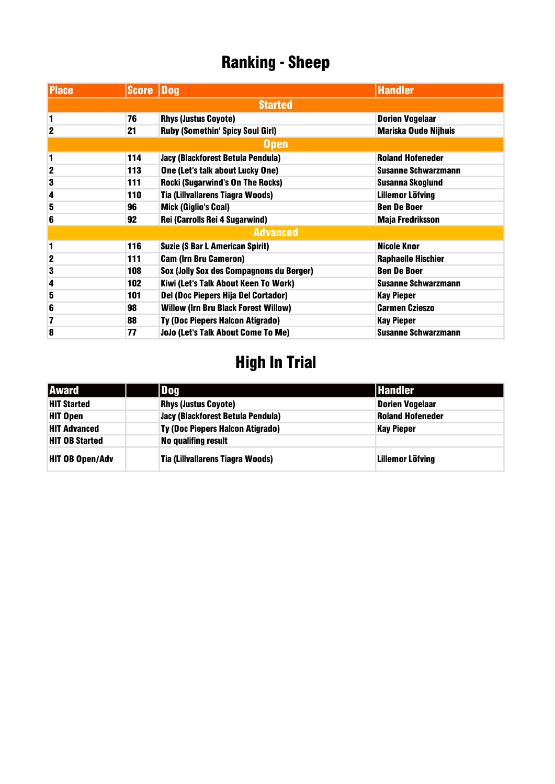| <b>Place</b> | Score Dog |                                             | <b>Handler</b>              |
|--------------|-----------|---------------------------------------------|-----------------------------|
|              |           | <b>Started</b>                              |                             |
| 1            | 76        | <b>Rhys (Justus Coyote)</b>                 | <b>Dorien Vogelaar</b>      |
| $\mathbf{2}$ | 21        | <b>Ruby (Somethin' Spicy Soul Girl)</b>     | <b>Mariska Oude Nijhuis</b> |
|              |           | <b>Open</b>                                 |                             |
| 1            | 114       | Jacy (Blackforest Betula Pendula)           | <b>Roland Hofeneder</b>     |
| $\mathbf{2}$ | 113       | One (Let's talk about Lucky One)            | <b>Susanne Schwarzmann</b>  |
| 3            | 111       | <b>Rocki (Sugarwind's On The Rocks)</b>     | <b>Susanna Skoglund</b>     |
| 4            | 110       | Tia (Lillvallarens Tiagra Woods)            | <b>Lillemor Löfving</b>     |
| 5            | 96        | <b>Mick (Giglio's Coal)</b>                 | <b>Ben De Boer</b>          |
| 6            | 92        | Rei (Carrolls Rei 4 Sugarwind)              | <b>Maja Fredriksson</b>     |
|              |           | <b>Advanced</b>                             |                             |
| 1            | 116       | <b>Suzie (S Bar L American Spirit)</b>      | <b>Nicole Knor</b>          |
| $\mathbf 2$  | 111       | <b>Cam (Irn Bru Cameron)</b>                | <b>Raphaelle Hischier</b>   |
| 3            | 108       | Sox (Jolly Sox des Compagnons du Berger)    | <b>Ben De Boer</b>          |
| 4            | 102       | Kiwi (Let's Talk About Keen To Work)        | <b>Susanne Schwarzmann</b>  |
| 5            | 101       | Del (Doc Piepers Hija Del Cortador)         | <b>Kay Pieper</b>           |
| 6            | 98        | <b>Willow (Irn Bru Black Forest Willow)</b> | <b>Carmen Czieszo</b>       |
| 7            | 88        | <b>Ty (Doc Piepers Halcon Atigrado)</b>     | <b>Kay Pieper</b>           |
| 8            | 77        | JoJo (Let's Talk About Come To Me)          | <b>Susanne Schwarzmann</b>  |

| <b>Award</b>           | Dog                                     | <b>Handler</b>          |
|------------------------|-----------------------------------------|-------------------------|
| <b>HIT Started</b>     | <b>Rhys (Justus Coyote)</b>             | <b>Dorien Vogelaar</b>  |
| <b>HIT Open</b>        | Jacy (Blackforest Betula Pendula)       | <b>Roland Hofeneder</b> |
| <b>HIT Advanced</b>    | <b>Ty (Doc Piepers Halcon Atigrado)</b> | <b>Kay Pieper</b>       |
| <b>HIT OB Started</b>  | <b>No qualifing result</b>              |                         |
| <b>HIT OB Open/Adv</b> | Tia (Lillvallarens Tiagra Woods)        | <b>Lillemor Löfving</b> |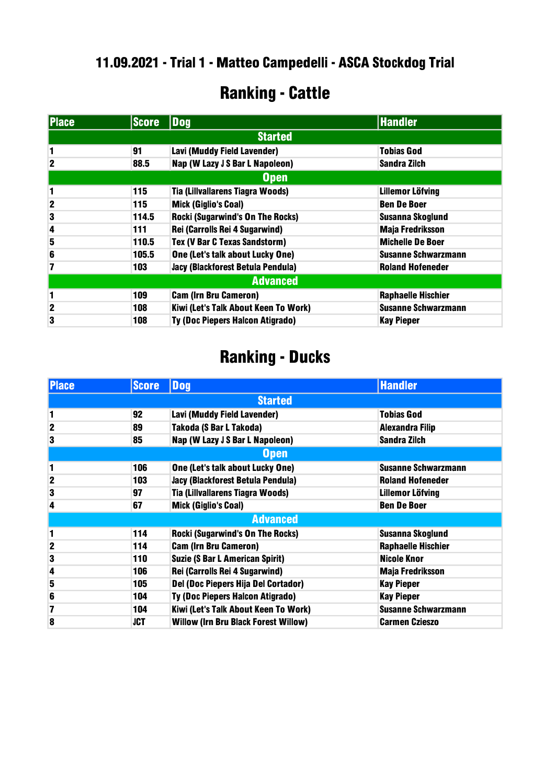#### .09.2021 - Trial 1 - Matteo Campedelli - ASCA Stockdog Trial

### Ranking - Cattle

| <b>Place</b>    | <b>Score</b> | Dog                                     | <b>Handler</b>             |  |
|-----------------|--------------|-----------------------------------------|----------------------------|--|
|                 |              | <b>Started</b>                          |                            |  |
| 1               | 91           | Lavi (Muddy Field Lavender)             | <b>Tobias God</b>          |  |
| $\mathbf 2$     | 88.5         | Nap (W Lazy J S Bar L Napoleon)         | Sandra Zilch               |  |
|                 |              | Open                                    |                            |  |
| 1               | 115          | <b>Tia (Lillvallarens Tiagra Woods)</b> | <b>Lillemor Löfving</b>    |  |
| $\mathbf 2$     | 115          | <b>Mick (Giglio's Coal)</b>             | <b>Ben De Boer</b>         |  |
| 3               | 114.5        | <b>Rocki (Sugarwind's On The Rocks)</b> | <b>Susanna Skoglund</b>    |  |
| 4               | 111          | Rei (Carrolls Rei 4 Sugarwind)          | <b>Maja Fredriksson</b>    |  |
| 5               | 110.5        | <b>Tex (V Bar C Texas Sandstorm)</b>    | <b>Michelle De Boer</b>    |  |
| 6               | 105.5        | One (Let's talk about Lucky One)        | <b>Susanne Schwarzmann</b> |  |
| 7               | 103          | Jacy (Blackforest Betula Pendula)       | <b>Roland Hofeneder</b>    |  |
| <b>Advanced</b> |              |                                         |                            |  |
| 1               | 109          | <b>Cam (Irn Bru Cameron)</b>            | <b>Raphaelle Hischier</b>  |  |
| $\mathbf 2$     | 108          | Kiwi (Let's Talk About Keen To Work)    | <b>Susanne Schwarzmann</b> |  |
| 3               | 108          | Ty (Doc Piepers Halcon Atigrado)        | <b>Kay Pieper</b>          |  |

| <b>Place</b>            | <b>Score</b> | <b>Dog</b>                                  | <b>Handler</b>             |
|-------------------------|--------------|---------------------------------------------|----------------------------|
|                         |              | <b>Started</b>                              |                            |
| 1                       | 92           | Lavi (Muddy Field Lavender)                 | <b>Tobias God</b>          |
| $\overline{2}$          | 89           | <b>Takoda (S Bar L Takoda)</b>              | <b>Alexandra Filip</b>     |
| 3                       | 85           | Nap (W Lazy J S Bar L Napoleon)             | <b>Sandra Zilch</b>        |
|                         |              | <b>Open</b>                                 |                            |
| 1                       | 106          | One (Let's talk about Lucky One)            | <b>Susanne Schwarzmann</b> |
| $\overline{2}$          | 103          | Jacy (Blackforest Betula Pendula)           | <b>Roland Hofeneder</b>    |
| 3                       | 97           | Tia (Lillvallarens Tiagra Woods)            | <b>Lillemor Löfving</b>    |
| 4                       | 67           | <b>Mick (Giglio's Coal)</b>                 | <b>Ben De Boer</b>         |
|                         |              | <b>Advanced</b>                             |                            |
| 1                       | 114          | <b>Rocki (Sugarwind's On The Rocks)</b>     | <b>Susanna Skoglund</b>    |
| $\mathbf 2$             | 114          | <b>Cam (Irn Bru Cameron)</b>                | <b>Raphaelle Hischier</b>  |
| 3                       | 110          | <b>Suzie (S Bar L American Spirit)</b>      | Nicole Knor                |
| $\overline{\mathbf{4}}$ | 106          | Rei (Carrolls Rei 4 Sugarwind)              | <b>Maja Fredriksson</b>    |
| 5                       | 105          | Del (Doc Piepers Hija Del Cortador)         | <b>Kay Pieper</b>          |
| 6                       | 104          | Ty (Doc Piepers Halcon Atigrado)            | <b>Kay Pieper</b>          |
| 7                       | 104          | Kiwi (Let's Talk About Keen To Work)        | <b>Susanne Schwarzmann</b> |
| 8                       | <b>JCT</b>   | <b>Willow (Irn Bru Black Forest Willow)</b> | <b>Carmen Czieszo</b>      |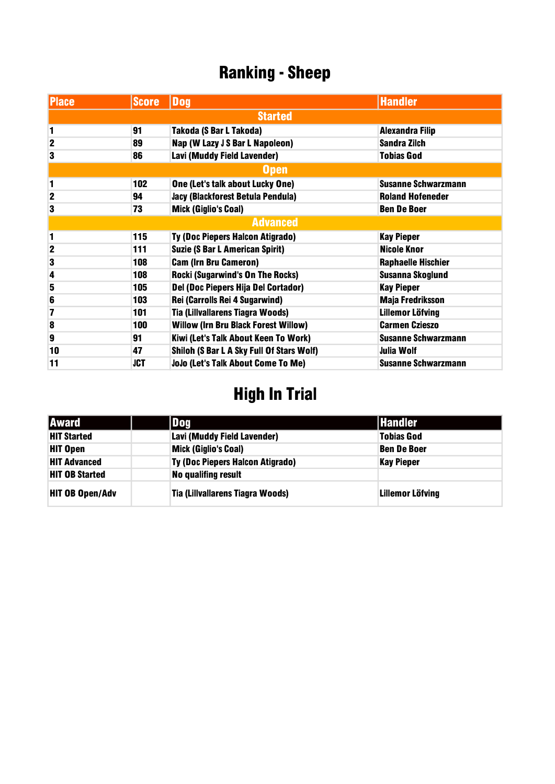| <b>Place</b>            | <b>Score</b> | <b>Dog</b>                                  | <b>Handler</b>             |
|-------------------------|--------------|---------------------------------------------|----------------------------|
|                         |              | <b>Started</b>                              |                            |
| 1                       | 91           | Takoda (S Bar L Takoda)                     | <b>Alexandra Filip</b>     |
| $\mathbf 2$             | 89           | Nap (W Lazy J S Bar L Napoleon)             | <b>Sandra Zilch</b>        |
| 3                       | 86           | Lavi (Muddy Field Lavender)                 | <b>Tobias God</b>          |
|                         |              | <b>Open</b>                                 |                            |
| 1                       | 102          | One (Let's talk about Lucky One)            | <b>Susanne Schwarzmann</b> |
| $\mathbf 2$             | 94           | Jacy (Blackforest Betula Pendula)           | <b>Roland Hofeneder</b>    |
| 3                       | 73           | <b>Mick (Giglio's Coal)</b>                 | <b>Ben De Boer</b>         |
|                         |              | <b>Advanced</b>                             |                            |
| 1                       | 115          | Ty (Doc Piepers Halcon Atigrado)            | <b>Kay Pieper</b>          |
| $\mathbf 2$             | 111          | <b>Suzie (S Bar L American Spirit)</b>      | <b>Nicole Knor</b>         |
| 3                       | 108          | <b>Cam (Irn Bru Cameron)</b>                | <b>Raphaelle Hischier</b>  |
| $\overline{\mathbf{4}}$ | 108          | <b>Rocki (Sugarwind's On The Rocks)</b>     | <b>Susanna Skoglund</b>    |
| 5                       | 105          | Del (Doc Piepers Hija Del Cortador)         | <b>Kay Pieper</b>          |
| 6                       | 103          | Rei (Carrolls Rei 4 Sugarwind)              | <b>Maja Fredriksson</b>    |
| 7                       | 101          | Tia (Lillvallarens Tiagra Woods)            | <b>Lillemor Löfving</b>    |
| 8                       | 100          | <b>Willow (Irn Bru Black Forest Willow)</b> | <b>Carmen Czieszo</b>      |
| $\boldsymbol{9}$        | 91           | Kiwi (Let's Talk About Keen To Work)        | <b>Susanne Schwarzmann</b> |
| 10                      | 47           | Shiloh (S Bar L A Sky Full Of Stars Wolf)   | <b>Julia Wolf</b>          |
| 11                      | JCT          | JoJo (Let's Talk About Come To Me)          | <b>Susanne Schwarzmann</b> |

| <b>Award</b>           | Dog                                     | <b>Handler</b>          |
|------------------------|-----------------------------------------|-------------------------|
| <b>HIT Started</b>     | Lavi (Muddy Field Lavender)             | <b>Tobias God</b>       |
| <b>HIT Open</b>        | <b>Mick (Giglio's Coal)</b>             | <b>Ben De Boer</b>      |
| <b>HIT Advanced</b>    | <b>Ty (Doc Piepers Halcon Atigrado)</b> | <b>Kay Pieper</b>       |
| <b>HIT OB Started</b>  | No qualifing result                     |                         |
| <b>HIT OB Open/Adv</b> | Tia (Lillvallarens Tiagra Woods)        | <b>Lillemor Löfving</b> |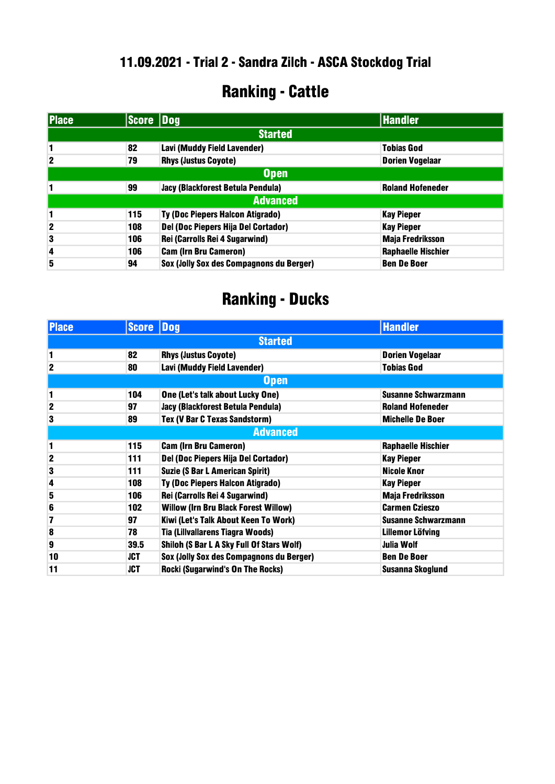### Ranking - Cattle

| <b>Place</b>            | Score Dog |                                          | <b>Handler</b>            |
|-------------------------|-----------|------------------------------------------|---------------------------|
|                         |           | <b>Started</b>                           |                           |
|                         | 82        | Lavi (Muddy Field Lavender)              | <b>Tobias God</b>         |
| $\mathbf{2}$            | 79        | <b>Rhys (Justus Coyote)</b>              | <b>Dorien Vogelaar</b>    |
| Open                    |           |                                          |                           |
|                         | 99        | Jacy (Blackforest Betula Pendula)        | <b>Roland Hofeneder</b>   |
|                         |           | <b>Advanced</b>                          |                           |
| 1                       | 115       | Ty (Doc Piepers Halcon Atigrado)         | <b>Kay Pieper</b>         |
| $\mathbf{2}$            | 108       | Del (Doc Piepers Hija Del Cortador)      | <b>Kay Pieper</b>         |
| 3                       | 106       | Rei (Carrolls Rei 4 Sugarwind)           | <b>Maja Fredriksson</b>   |
| $\overline{\mathbf{4}}$ | 106       | <b>Cam (Irn Bru Cameron)</b>             | <b>Raphaelle Hischier</b> |
| 5                       | 94        | Sox (Jolly Sox des Compagnons du Berger) | <b>Ben De Boer</b>        |

| <b>Place</b>            | <b>Score</b> | $\sqrt{\mathbf{Dog}}$                       | <b>Handler</b>             |
|-------------------------|--------------|---------------------------------------------|----------------------------|
|                         |              | <b>Started</b>                              |                            |
| 1                       | 82           | <b>Rhys (Justus Coyote)</b>                 | <b>Dorien Vogelaar</b>     |
| 2                       | 80           | Lavi (Muddy Field Lavender)                 | <b>Tobias God</b>          |
|                         |              | <b>Open</b>                                 |                            |
| 1                       | 104          | One (Let's talk about Lucky One)            | <b>Susanne Schwarzmann</b> |
| $\mathbf{2}$            | 97           | Jacy (Blackforest Betula Pendula)           | <b>Roland Hofeneder</b>    |
| 3                       | 89           | Tex (V Bar C Texas Sandstorm)               | <b>Michelle De Boer</b>    |
|                         |              | <b>Advanced</b>                             |                            |
| 1                       | 115          | <b>Cam (Irn Bru Cameron)</b>                | <b>Raphaelle Hischier</b>  |
| $\mathbf 2$             | 111          | Del (Doc Piepers Hija Del Cortador)         | <b>Kay Pieper</b>          |
| 3                       | 111          | <b>Suzie (S Bar L American Spirit)</b>      | <b>Nicole Knor</b>         |
| $\overline{\mathbf{4}}$ | 108          | Ty (Doc Piepers Halcon Atigrado)            | <b>Kay Pieper</b>          |
| 5                       | 106          | Rei (Carrolls Rei 4 Sugarwind)              | <b>Maja Fredriksson</b>    |
| 6                       | 102          | <b>Willow (Irn Bru Black Forest Willow)</b> | <b>Carmen Czieszo</b>      |
| 7                       | 97           | Kiwi (Let's Talk About Keen To Work)        | <b>Susanne Schwarzmann</b> |
| 8                       | 78           | <b>Tia (Lillvallarens Tiagra Woods)</b>     | Lillemor Löfving           |
| 9                       | 39.5         | Shiloh (S Bar L A Sky Full Of Stars Wolf)   | <b>Julia Wolf</b>          |
| 10                      | JCT          | Sox (Jolly Sox des Compagnons du Berger)    | <b>Ben De Boer</b>         |
| 11                      | JCT          | <b>Rocki (Sugarwind's On The Rocks)</b>     | Susanna Skoglund           |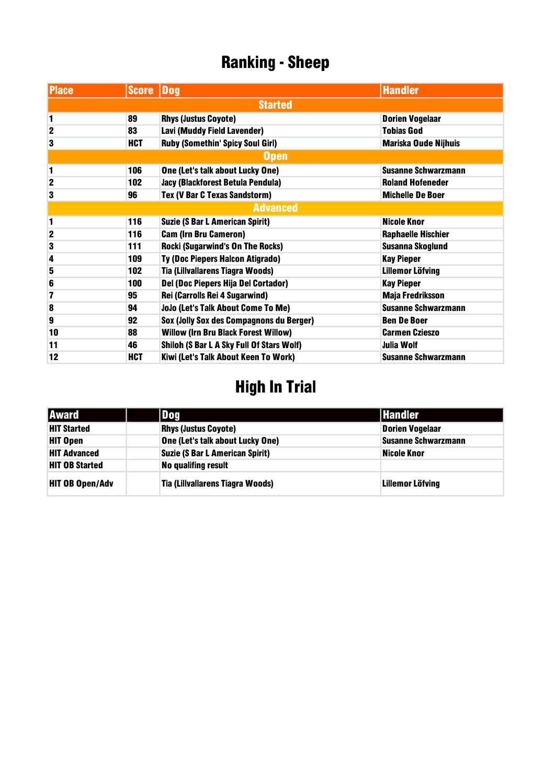| <b>Place</b>   | Score Dog      |                                             | <b>Handler</b>              |  |  |
|----------------|----------------|---------------------------------------------|-----------------------------|--|--|
|                | <b>Started</b> |                                             |                             |  |  |
| 1              | 89             | <b>Rhys (Justus Coyote)</b>                 | <b>Dorien Vogelaar</b>      |  |  |
| $\overline{2}$ | 83             | Lavi (Muddy Field Lavender)                 | <b>Tobias God</b>           |  |  |
| 3              | <b>HCT</b>     | Ruby (Somethin' Spicy Soul Girl)            | <b>Mariska Oude Nijhuis</b> |  |  |
|                |                | <b>Open</b>                                 |                             |  |  |
| 1              | 106            | One (Let's talk about Lucky One)            | <b>Susanne Schwarzmann</b>  |  |  |
| $\mathbf 2$    | 102            | Jacy (Blackforest Betula Pendula)           | <b>Roland Hofeneder</b>     |  |  |
| 3              | 96             | Tex (V Bar C Texas Sandstorm)               | <b>Michelle De Boer</b>     |  |  |
|                |                | <b>Advanced</b>                             |                             |  |  |
| 1              | 116            | <b>Suzie (S Bar L American Spirit)</b>      | <b>Nicole Knor</b>          |  |  |
| $\overline{2}$ | 116            | <b>Cam (Irn Bru Cameron)</b>                | <b>Raphaelle Hischier</b>   |  |  |
| 3              | 111            | <b>Rocki (Sugarwind's On The Rocks)</b>     | <b>Susanna Skoglund</b>     |  |  |
| 4              | 109            | Ty (Doc Piepers Halcon Atigrado)            | <b>Kay Pieper</b>           |  |  |
| 5              | 102            | Tia (Lillvallarens Tiagra Woods)            | <b>Lillemor Löfving</b>     |  |  |
| 6              | 100            | Del (Doc Piepers Hija Del Cortador)         | <b>Kay Pieper</b>           |  |  |
| 7              | 95             | Rei (Carrolls Rei 4 Sugarwind)              | <b>Maja Fredriksson</b>     |  |  |
| 8              | 94             | JoJo (Let's Talk About Come To Me)          | <b>Susanne Schwarzmann</b>  |  |  |
| 9              | 92             | Sox (Jolly Sox des Compagnons du Berger)    | <b>Ben De Boer</b>          |  |  |
| 10             | 88             | <b>Willow (Irn Bru Black Forest Willow)</b> | <b>Carmen Czieszo</b>       |  |  |
| 11             | 46             | Shiloh (S Bar L A Sky Full Of Stars Wolf)   | <b>Julia Wolf</b>           |  |  |
| 12             | <b>HCT</b>     | Kiwi (Let's Talk About Keen To Work)        | <b>Susanne Schwarzmann</b>  |  |  |

| <b>Award</b>           | Dog                                     | <b>Handler</b>             |
|------------------------|-----------------------------------------|----------------------------|
| <b>HIT Started</b>     | <b>Rhys (Justus Coyote)</b>             | <b>Dorien Vogelaar</b>     |
| <b>HIT Open</b>        | One (Let's talk about Lucky One)        | <b>Susanne Schwarzmann</b> |
| <b>HIT Advanced</b>    | <b>Suzie (S Bar L American Spirit)</b>  | Nicole Knor                |
| <b>HIT OB Started</b>  | No qualifing result                     |                            |
| <b>HIT OB Open/Adv</b> | <b>Tia (Lillvallarens Tiagra Woods)</b> | Lillemor Löfving           |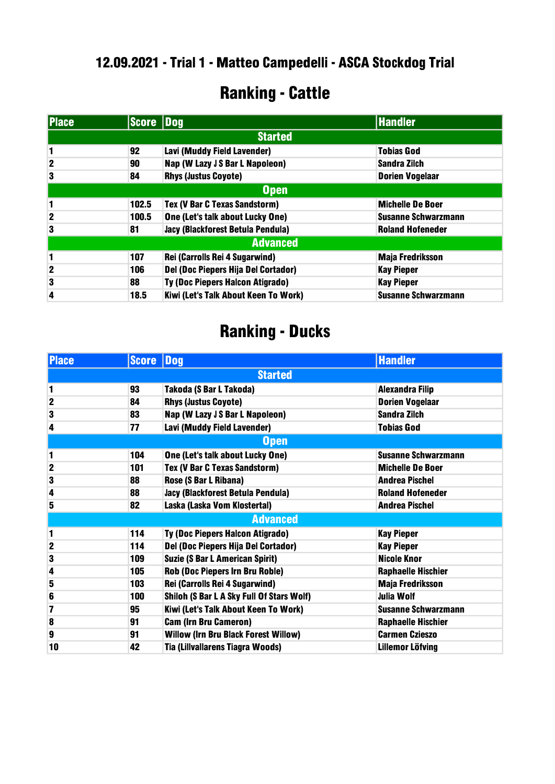#### .09.2021 - Trial 1 - Matteo Campedelli - ASCA Stockdog Trial

### Ranking - Cattle

| <b>Place</b>    | Score Dog |                                         | <b>Handler</b>             |
|-----------------|-----------|-----------------------------------------|----------------------------|
|                 |           | <b>Started</b>                          |                            |
|                 | 92        | Lavi (Muddy Field Lavender)             | <b>Tobias God</b>          |
| $\mathbf{2}$    | 90        | Nap (W Lazy J S Bar L Napoleon)         | <b>Sandra Zilch</b>        |
| 3               | 84        | <b>Rhys (Justus Coyote)</b>             | <b>Dorien Vogelaar</b>     |
| Open            |           |                                         |                            |
| 1               | 102.5     | <b>Tex (V Bar C Texas Sandstorm)</b>    | <b>Michelle De Boer</b>    |
| $\mathbf 2$     | 100.5     | One (Let's talk about Lucky One)        | <b>Susanne Schwarzmann</b> |
| 3               | 81        | Jacy (Blackforest Betula Pendula)       | <b>Roland Hofeneder</b>    |
| <b>Advanced</b> |           |                                         |                            |
| 1               | 107       | Rei (Carrolls Rei 4 Sugarwind)          | <b>Maja Fredriksson</b>    |
| $\mathbf{2}$    | 106       | Del (Doc Piepers Hija Del Cortador)     | <b>Kay Pieper</b>          |
| 3               | 88        | <b>Ty (Doc Piepers Halcon Atigrado)</b> | <b>Kay Pieper</b>          |
| 4               | 18.5      | Kiwi (Let's Talk About Keen To Work)    | <b>Susanne Schwarzmann</b> |

| <b>Place</b>            | <b>Score</b> | Dog                                         | <b>Handler</b>             |
|-------------------------|--------------|---------------------------------------------|----------------------------|
| <b>Started</b>          |              |                                             |                            |
| 1                       | 93           | Takoda (S Bar L Takoda)                     | <b>Alexandra Filip</b>     |
| $\mathbf{2}$            | 84           | <b>Rhys (Justus Coyote)</b>                 | <b>Dorien Vogelaar</b>     |
| 3                       | 83           | Nap (W Lazy J S Bar L Napoleon)             | <b>Sandra Zilch</b>        |
| 4                       | 77           | Lavi (Muddy Field Lavender)                 | <b>Tobias God</b>          |
|                         |              | <b>Open</b>                                 |                            |
| 1                       | 104          | One (Let's talk about Lucky One)            | <b>Susanne Schwarzmann</b> |
| $\overline{\mathbf{c}}$ | 101          | Tex (V Bar C Texas Sandstorm)               | <b>Michelle De Boer</b>    |
| 3                       | 88           | Rose (S Bar L Ribana)                       | <b>Andrea Pischel</b>      |
| 4                       | 88           | Jacy (Blackforest Betula Pendula)           | <b>Roland Hofeneder</b>    |
| 5                       | 82           | Laska (Laska Vom Klostertal)                | <b>Andrea Pischel</b>      |
|                         |              | <b>Advanced</b>                             |                            |
| 1                       | 114          | <b>Ty (Doc Piepers Halcon Atigrado)</b>     | <b>Kay Pieper</b>          |
| $\mathbf{2}$            | 114          | Del (Doc Piepers Hija Del Cortador)         | <b>Kay Pieper</b>          |
| 3                       | 109          | <b>Suzie (S Bar L American Spirit)</b>      | <b>Nicole Knor</b>         |
| $\overline{\mathbf{4}}$ | 105          | <b>Rob (Doc Piepers Irn Bru Roble)</b>      | <b>Raphaelle Hischier</b>  |
| 5                       | 103          | Rei (Carrolls Rei 4 Sugarwind)              | <b>Maja Fredriksson</b>    |
| 6                       | 100          | Shiloh (S Bar L A Sky Full Of Stars Wolf)   | Julia Wolf                 |
| 7                       | 95           | Kiwi (Let's Talk About Keen To Work)        | <b>Susanne Schwarzmann</b> |
| 8                       | 91           | <b>Cam (Irn Bru Cameron)</b>                | <b>Raphaelle Hischier</b>  |
| 9                       | 91           | <b>Willow (Irn Bru Black Forest Willow)</b> | <b>Carmen Czieszo</b>      |
| 10                      | 42           | Tia (Lillvallarens Tiagra Woods)            | <b>Lillemor Löfving</b>    |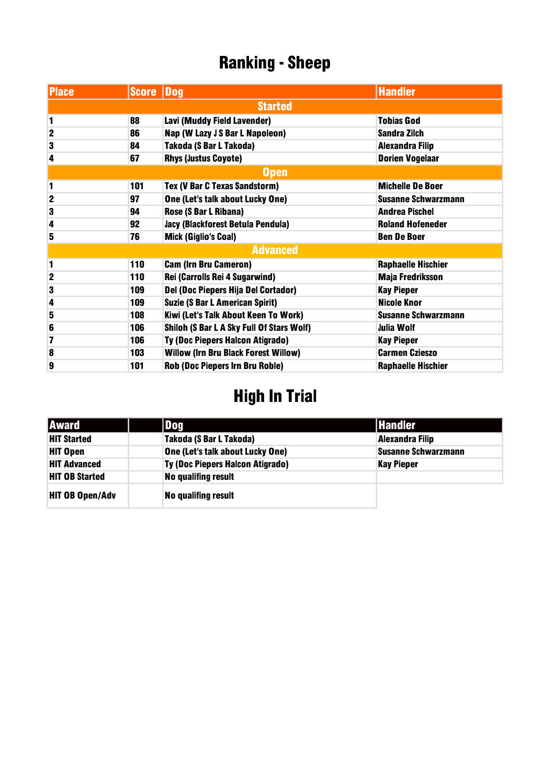| <b>Place</b>   | Score Dog |                                             | <b>Handler</b>             |
|----------------|-----------|---------------------------------------------|----------------------------|
|                |           | <b>Started</b>                              |                            |
| 1              | 88        | Lavi (Muddy Field Lavender)                 | <b>Tobias God</b>          |
| $\overline{2}$ | 86        | Nap (W Lazy J S Bar L Napoleon)             | <b>Sandra Zilch</b>        |
| 3              | 84        | Takoda (S Bar L Takoda)                     | <b>Alexandra Filip</b>     |
| 4              | 67        | <b>Rhys (Justus Coyote)</b>                 | <b>Dorien Vogelaar</b>     |
|                |           | <b>Open</b>                                 |                            |
| 1              | 101       | Tex (V Bar C Texas Sandstorm)               | <b>Michelle De Boer</b>    |
| $\overline{2}$ | 97        | One (Let's talk about Lucky One)            | <b>Susanne Schwarzmann</b> |
| 3              | 94        | Rose (S Bar L Ribana)                       | <b>Andrea Pischel</b>      |
| 4              | 92        | Jacy (Blackforest Betula Pendula)           | <b>Roland Hofeneder</b>    |
| 5              | 76        | <b>Mick (Giglio's Coal)</b>                 | <b>Ben De Boer</b>         |
|                |           | <b>Advanced</b>                             |                            |
| 1              | 110       | <b>Cam (Irn Bru Cameron)</b>                | <b>Raphaelle Hischier</b>  |
| $\overline{2}$ | 110       | Rei (Carrolls Rei 4 Sugarwind)              | <b>Maja Fredriksson</b>    |
| 3              | 109       | Del (Doc Piepers Hija Del Cortador)         | <b>Kay Pieper</b>          |
| 4              | 109       | <b>Suzie (S Bar L American Spirit)</b>      | <b>Nicole Knor</b>         |
| 5              | 108       | Kiwi (Let's Talk About Keen To Work)        | <b>Susanne Schwarzmann</b> |
| 6              | 106       | Shiloh (S Bar L A Sky Full Of Stars Wolf)   | <b>Julia Wolf</b>          |
| 7              | 106       | Ty (Doc Piepers Halcon Atigrado)            | <b>Kay Pieper</b>          |
| 8              | 103       | <b>Willow (Irn Bru Black Forest Willow)</b> | <b>Carmen Czieszo</b>      |
| 9              | 101       | <b>Rob (Doc Piepers Irn Bru Roble)</b>      | <b>Raphaelle Hischier</b>  |

| <b>Award</b>           | <b>Dog</b>                              | <b>Handler</b>             |
|------------------------|-----------------------------------------|----------------------------|
| <b>HIT Started</b>     | <b>Takoda (S Bar L Takoda)</b>          | <b>Alexandra Filip</b>     |
| <b>HIT Open</b>        | One (Let's talk about Lucky One)        | <b>Susanne Schwarzmann</b> |
| <b>HIT Advanced</b>    | <b>Ty (Doc Piepers Halcon Atigrado)</b> | <b>Kay Pieper</b>          |
| <b>HIT OB Started</b>  | No qualifing result                     |                            |
| <b>HIT OB Open/Adv</b> | No qualifing result                     |                            |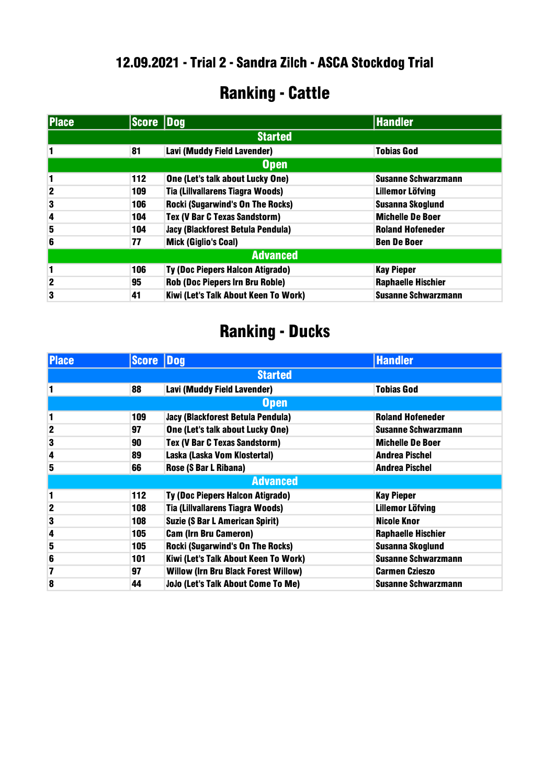### Ranking - Cattle

| <b>Place</b>    | Score Dog |                                         | <b>Handler</b>             |
|-----------------|-----------|-----------------------------------------|----------------------------|
|                 |           | <b>Started</b>                          |                            |
|                 | 81        | Lavi (Muddy Field Lavender)             | <b>Tobias God</b>          |
|                 |           | <b>Open</b>                             |                            |
| 1               | 112       | One (Let's talk about Lucky One)        | <b>Susanne Schwarzmann</b> |
| $\mathbf{2}$    | 109       | Tia (Lillvallarens Tiagra Woods)        | <b>Lillemor Löfving</b>    |
| 3               | 106       | <b>Rocki (Sugarwind's On The Rocks)</b> | <b>Susanna Skoglund</b>    |
| 4               | 104       | Tex (V Bar C Texas Sandstorm)           | <b>Michelle De Boer</b>    |
| 5               | 104       | Jacy (Blackforest Betula Pendula)       | <b>Roland Hofeneder</b>    |
| 6               | 77        | <b>Mick (Giglio's Coal)</b>             | <b>Ben De Boer</b>         |
| <b>Advanced</b> |           |                                         |                            |
| 1               | 106       | <b>Ty (Doc Piepers Halcon Atigrado)</b> | <b>Kay Pieper</b>          |
| $\mathbf{2}$    | 95        | <b>Rob (Doc Piepers Irn Bru Roble)</b>  | <b>Raphaelle Hischier</b>  |
| 3               | 41        | Kiwi (Let's Talk About Keen To Work)    | <b>Susanne Schwarzmann</b> |

| <b>Place</b>   | <b>Score Dog</b> |                                             | <b>Handler</b>             |
|----------------|------------------|---------------------------------------------|----------------------------|
| <b>Started</b> |                  |                                             |                            |
|                | 88               | Lavi (Muddy Field Lavender)                 | <b>Tobias God</b>          |
|                |                  | <b>Open</b>                                 |                            |
| 1              | 109              | Jacy (Blackforest Betula Pendula)           | <b>Roland Hofeneder</b>    |
| $\mathbf{2}$   | 97               | One (Let's talk about Lucky One)            | <b>Susanne Schwarzmann</b> |
| 3              | 90               | <b>Tex (V Bar C Texas Sandstorm)</b>        | <b>Michelle De Boer</b>    |
| 4              | 89               | Laska (Laska Vom Klostertal)                | <b>Andrea Pischel</b>      |
| 5              | 66               | Rose (S Bar L Ribana)                       | <b>Andrea Pischel</b>      |
|                |                  | <b>Advanced</b>                             |                            |
| 1              | 112              | Ty (Doc Piepers Halcon Atigrado)            | <b>Kay Pieper</b>          |
| $\overline{2}$ | 108              | Tia (Lillvallarens Tiagra Woods)            | Lillemor Löfving           |
| 3              | 108              | <b>Suzie (S Bar L American Spirit)</b>      | Nicole Knor                |
| 4              | 105              | <b>Cam (Irn Bru Cameron)</b>                | <b>Raphaelle Hischier</b>  |
| 5              | 105              | <b>Rocki (Sugarwind's On The Rocks)</b>     | Susanna Skoglund           |
| 6              | 101              | Kiwi (Let's Talk About Keen To Work)        | <b>Susanne Schwarzmann</b> |
| 7              | 97               | <b>Willow (Irn Bru Black Forest Willow)</b> | <b>Carmen Czieszo</b>      |
| 8              | 44               | <b>JoJo (Let's Talk About Come To Me)</b>   | <b>Susanne Schwarzmann</b> |